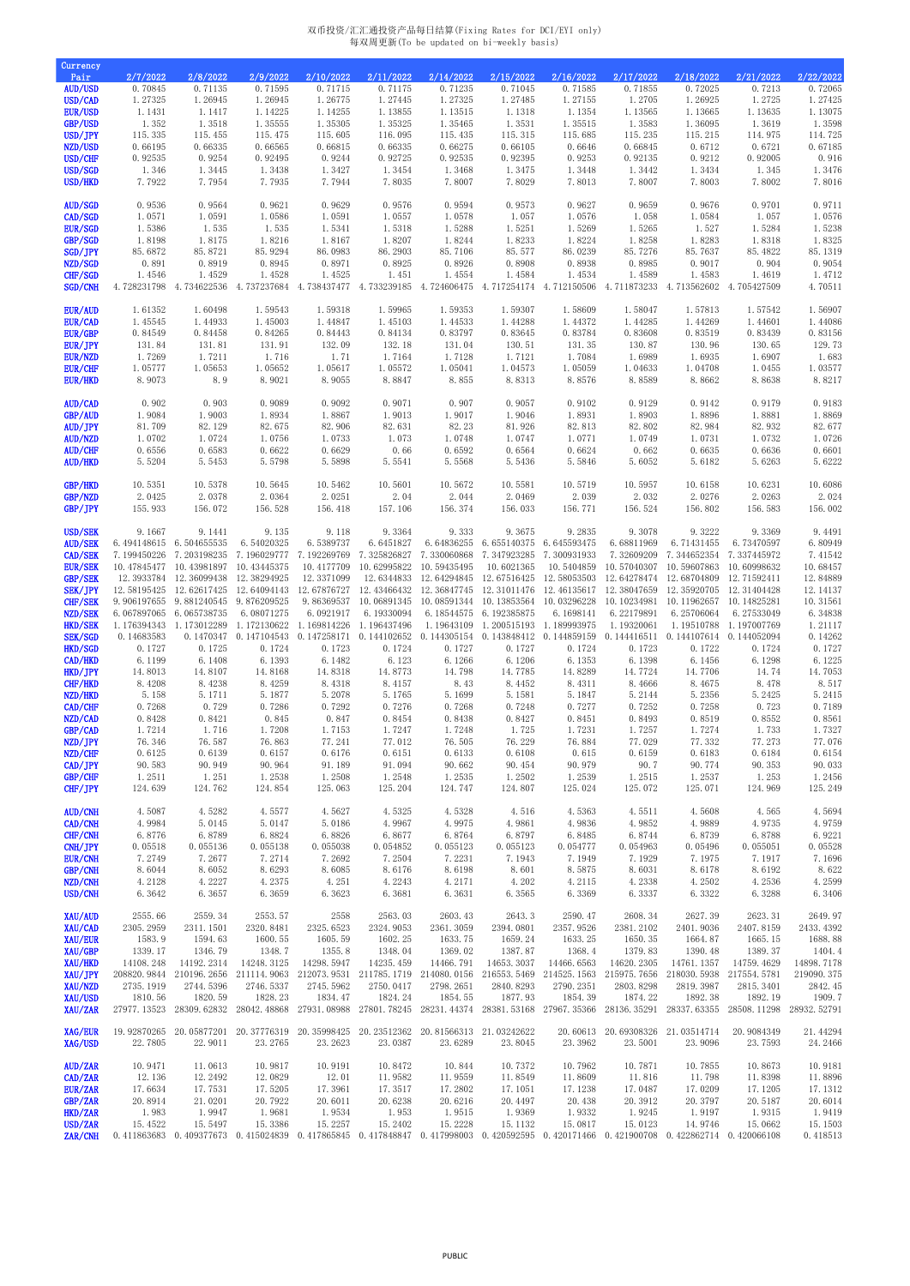## 双币投资/汇汇通投资产品每日结算(Fixing Rates for DCI/EYI only) 每双周更新(To be updated on bi-weekly basis)

| Currency                         |                                                      |                            |                                     |                           |                                                                                                                                                                     |                      |                                        |                                                                              |                                             |                                   |                            |                      |
|----------------------------------|------------------------------------------------------|----------------------------|-------------------------------------|---------------------------|---------------------------------------------------------------------------------------------------------------------------------------------------------------------|----------------------|----------------------------------------|------------------------------------------------------------------------------|---------------------------------------------|-----------------------------------|----------------------------|----------------------|
| Pair<br><b>AUD/USD</b>           | 2/7/2022<br>0.70845                                  | 2/8/2022<br>0.71135        | 2/9/2022<br>0.71595                 | 2/10/2022<br>0.71715      | 2/11/2022<br>0.71175                                                                                                                                                | 2/14/2022<br>0.71235 | 2/15/2022<br>0.71045                   | 2/16/2022<br>0.71585                                                         | 2/17/2022<br>0.71855                        | 2/18/2022<br>0.72025              | 2/21/2022<br>0.7213        | 2/22/2022<br>0.72065 |
| USD/CAD                          | 1.27325                                              | 1.26945                    | 1.26945                             | 1.26775                   | 1.27445                                                                                                                                                             | 1.27325              | 1.27485                                | 1.27155                                                                      | 1.2705                                      | 1.26925                           | 1.2725                     | 1.27425              |
| <b>EUR/USD</b>                   | 1.1431                                               | 1.1417                     | 1.14225                             | 1.14255                   | 1.13855                                                                                                                                                             | 1.13515              | 1.1318                                 | 1.1354                                                                       | 1.13565                                     | 1.13665                           | 1.13635                    | 1.13075              |
| <b>GBP/USD</b>                   | 1.352                                                | 1.3518                     | 1.35555                             | 1.35305                   | 1.35325                                                                                                                                                             | 1.35465              | 1.3531                                 | 1.35515                                                                      | 1.3583                                      | 1.36095                           | 1.3619                     | 1.3598               |
| USD/JPY<br>NZD/USD               | 115.335<br>0.66195                                   | 115.455<br>0.66335         | 115.475<br>0.66565                  | 115.605<br>0.66815        | 116.095<br>0.66335                                                                                                                                                  | 115.435<br>0.66275   | 115.315<br>0.66105                     | 115.685<br>0.6646                                                            | 115.235<br>0.66845                          | 115.215<br>0.6712                 | 114.975<br>0.6721          | 114.725<br>0.67185   |
| USD/CHF                          | 0.92535                                              | 0.9254                     | 0.92495                             | 0.9244                    | 0.92725                                                                                                                                                             | 0.92535              | 0.92395                                | 0.9253                                                                       | 0.92135                                     | 0.9212                            | 0.92005                    | 0.916                |
| USD/SGD                          | 1.346                                                | 1.3445                     | 1.3438                              | 1.3427                    | 1.3454                                                                                                                                                              | 1.3468               | 1.3475                                 | 1.3448                                                                       | 1.3442                                      | 1.3434                            | 1.345                      | 1.3476               |
| USD/HKD                          | 7.7922                                               | 7.7954                     | 7.7935                              | 7.7944                    | 7.8035                                                                                                                                                              | 7.8007               | 7.8029                                 | 7.8013                                                                       | 7.8007                                      | 7.8003                            | 7.8002                     | 7.8016               |
| <b>AUD/SGD</b>                   | 0.9536                                               | 0.9564                     | 0.9621                              | 0.9629                    | 0.9576                                                                                                                                                              | 0.9594               | 0.9573                                 | 0.9627                                                                       | 0.9659                                      | 0.9676                            | 0.9701                     | 0.9711               |
| CAD/SGD                          | 1.0571                                               | 1.0591                     | 1.0586                              | 1.0591                    | 1.0557                                                                                                                                                              | 1.0578               | 1.057                                  | 1.0576                                                                       | 1.058                                       | 1.0584                            | 1.057                      | 1.0576               |
| <b>EUR/SGD</b>                   | 1.5386                                               | 1.535                      | 1.535                               | 1.5341                    | 1.5318                                                                                                                                                              | 1.5288               | 1.5251                                 | 1.5269                                                                       | 1.5265                                      | 1.527                             | 1.5284                     | 1.5238               |
| GBP/SGD<br>SGD/JPY               | 1.8198<br>85.6872                                    | 1.8175<br>85.8721          | 1.8216<br>85.9294                   | 1.8167<br>86.0983         | 1.8207<br>86.2903                                                                                                                                                   | 1.8244<br>85.7106    | 1.8233<br>85.577                       | 1.8224<br>86.0239                                                            | 1.8258<br>85.7276                           | 1.8283<br>85.7637                 | 1.8318<br>85.4822          | 1.8325<br>85.1319    |
| NZD/SGD                          | 0.891                                                | 0.8919                     | 0.8945                              | 0.8971                    | 0.8925                                                                                                                                                              | 0.8926               | 0.8908                                 | 0.8938                                                                       | 0.8985                                      | 0.9017                            | 0.904                      | 0.9054               |
| CHF/SGD                          | 1.4546                                               | 1.4529                     | 1.4528                              | 1.4525                    | 1.451                                                                                                                                                               | 1.4554               | 1.4584                                 | 1.4534                                                                       | 1.4589                                      | 1.4583                            | 1.4619                     | 1.4712               |
| SGD/CNH                          | 4.728231798                                          | 4.734622536                | 4.737237684                         | 4.738437477               | 4.733239185                                                                                                                                                         |                      |                                        | 4.724606475 4.717254174 4.712150506 4.711873233                              |                                             | 4.713562602                       | 4.705427509                | 4.70511              |
| <b>EUR/AUD</b>                   | 1.61352                                              | 1.60498                    | 1.59543                             | 1.59318                   | 1.59965                                                                                                                                                             | 1.59353              | 1.59307                                | 1.58609                                                                      | 1.58047                                     | 1.57813                           | 1.57542                    | 1.56907              |
| EUR/CAD                          | 1.45545                                              | 1.44933                    | 1.45003                             | 1.44847                   | 1.45103                                                                                                                                                             | 1.44533              | 1.44288                                | 1.44372                                                                      | 1.44285                                     | 1.44269                           | 1.44601                    | 1.44086              |
| EUR/GBP                          | 0.84549                                              | 0.84458                    | 0.84265                             | 0.84443                   | 0.84134                                                                                                                                                             | 0.83797              | 0.83645                                | 0.83784                                                                      | 0.83608                                     | 0.83519                           | 0.83439                    | 0.83156              |
| EUR/JPY<br><b>EUR/NZD</b>        | 131.84<br>1.7269                                     | 131.81<br>1.7211           | 131.91<br>1.716                     | 132.09<br>1.71            | 132.18<br>1.7164                                                                                                                                                    | 131.04<br>1.7128     | 130.51<br>1.7121                       | 131.35<br>1.7084                                                             | 130.87<br>1.6989                            | 130.96<br>1.6935                  | 130.65<br>1.6907           | 129.73<br>1.683      |
| <b>EUR/CHF</b>                   | 1.05777                                              | 1.05653                    | 1.05652                             | 1.05617                   | 1.05572                                                                                                                                                             | 1.05041              | 1.04573                                | 1.05059                                                                      | 1.04633                                     | 1.04708                           | 1.0455                     | 1.03577              |
| <b>EUR/HKD</b>                   | 8.9073                                               | 8.9                        | 8.9021                              | 8.9055                    | 8.8847                                                                                                                                                              | 8.855                | 8.8313                                 | 8.8576                                                                       | 8.8589                                      | 8.8662                            | 8.8638                     | 8.8217               |
| AUD/CAD                          | 0.902                                                | 0.903                      | 0.9089                              | 0.9092                    | 0.9071                                                                                                                                                              | 0.907                | 0.9057                                 | 0.9102                                                                       | 0.9129                                      | 0.9142                            | 0.9179                     | 0.9183               |
| GBP/AUD                          | 1.9084                                               | 1.9003                     | 1.8934                              | 1.8867                    | 1.9013                                                                                                                                                              | 1.9017               | 1.9046                                 | 1.8931                                                                       | 1.8903                                      | 1.8896                            | 1.8881                     | 1.8869               |
| AUD/JPY                          | 81.709                                               | 82.129                     | 82.675                              | 82.906                    | 82.631                                                                                                                                                              | 82.23                | 81.926                                 | 82.813                                                                       | 82.802                                      | 82.984                            | 82.932                     | 82.677               |
| <b>AUD/NZD</b><br><b>AUD/CHF</b> | 1.0702<br>0.6556                                     | 1.0724<br>0.6583           | 1.0756<br>0.6622                    | 1.0733<br>0.6629          | 1.073<br>0.66                                                                                                                                                       | 1.0748<br>0.6592     | 1.0747<br>0.6564                       | 1.0771<br>0.6624                                                             | 1.0749<br>0.662                             | 1.0731<br>0.6635                  | 1.0732<br>0.6636           | 1.0726<br>0.6601     |
| <b>AUD/HKD</b>                   | 5.5204                                               | 5.5453                     | 5.5798                              | 5.5898                    | 5.5541                                                                                                                                                              | 5.5568               | 5.5436                                 | 5.5846                                                                       | 5.6052                                      | 5.6182                            | 5.6263                     | 5.6222               |
|                                  |                                                      |                            |                                     |                           |                                                                                                                                                                     |                      |                                        |                                                                              |                                             |                                   |                            |                      |
| <b>GBP/HKD</b><br>GBP/NZD        | 10.5351<br>2.0425                                    | 10.5378<br>2.0378          | 10.5645<br>2.0364                   | 10.5462<br>2.0251         | 10.5601<br>2.04                                                                                                                                                     | 10.5672<br>2.044     | 10.5581<br>2.0469                      | 10.5719<br>2.039                                                             | 10.5957<br>2.032                            | 10.6158<br>2.0276                 | 10.6231<br>2.0263          | 10.6086<br>2.024     |
| GBP/JPY                          | 155.933                                              | 156.072                    | 156.528                             | 156.418                   | 157.106                                                                                                                                                             | 156.374              | 156.033                                | 156.771                                                                      | 156.524                                     | 156.802                           | 156.583                    | 156.002              |
|                                  |                                                      |                            |                                     |                           |                                                                                                                                                                     |                      |                                        |                                                                              |                                             |                                   |                            |                      |
| <b>USD/SEK</b>                   | 9.1667<br>AUD/SEK 6.494148615 6.504655535 6.54020325 | 9.1441                     | 9.135                               | 9.118<br>6.5389737        | 9.3364                                                                                                                                                              | 9.333                | 9.3675                                 | 9.2835<br>6.6451827 6.64836255 6.655140375 6.645593475 6.68811969 6.71431455 | 9.3078                                      | 9.3222                            | 9.3369<br>6.73470597       | 9.4491<br>6.80949    |
| <b>CAD/SEK</b>                   | 7.199450226 7.203198235                              |                            |                                     | 7.196029777 7.192269769   | 7.325826827                                                                                                                                                         |                      | 7.330060868 7.347923285 7.300931933    |                                                                              | 7.32609209                                  | 7.344652354 7.337445972           |                            | 7.41542              |
| <b>EUR/SEK</b>                   | 10.47845477 10.43981897                              |                            | 10.43445375                         | 10.4177709                | 10.62995822                                                                                                                                                         | 10.59435495          | 10.6021365                             |                                                                              | 10.5404859 10.57040307                      | 10.59607863                       | 10.60998632                | 10.68457             |
| GBP/SEK                          |                                                      | 12.3933784 12.36099438     | 12.38294925                         | 12.3371099                |                                                                                                                                                                     |                      |                                        | 12.6344833 12.64294845 12.67516425 12.58053503                               | 12.64278474                                 | 12.68704809                       | 12.71592411                | 12.84889             |
| <b>SEK/JPY</b><br>CHF/SEK        | 12.58195425<br>9.906197655                           | 12.62617425<br>9.881240545 | 12.64094143<br>9.876209525          | 12.67876727<br>9.86369537 | 12.43466432<br>10.06891345                                                                                                                                          | 12.36847745          | 12.31011476<br>10.08591344 10.13853564 | 12.46135617<br>10.03296228                                                   | 12.38047659<br>10.10234981                  | 12.35920705<br>10.11962657        | 12.31404428<br>10.14825281 | 12.14137<br>10.31561 |
| NZD/SEK                          | 6.067897065                                          | 6.065738735                | 6.08071275                          | 6.0921917                 | 6.19330094                                                                                                                                                          | 6.18544575           | 6.192385875                            | 6.1698141                                                                    | 6.22179891                                  | 6.25706064                        | 6.27533049                 | 6.34838              |
| HKD/SEK                          | 1.176394343 1.173012289                              |                            | 1.172130622                         | 1.169814226               | 1.196437496                                                                                                                                                         |                      | 1.19643109 1.200515193                 | 1.189993975                                                                  | 1.19320061                                  |                                   | 1.19510788 1.197007769     | 1.21117              |
| <b>SEK/SGD</b><br>HKD/SGD        | 0.14683583<br>0.1727                                 | 0.1470347<br>0.1725        | 0.147104543<br>0.1724               | 0.147258171<br>0.1723     | 0.144102652<br>0.1724                                                                                                                                               | 0.1727               | 0.1727                                 | 0.144305154  0.143848412  0.144859159  0.144416511<br>0.1724                 | 0.1723                                      | 0.144107614 0.144052094<br>0.1722 | 0.1724                     | 0.14262<br>0.1727    |
| CAD/HKD                          | 6.1199                                               | 6.1408                     | 6.1393                              | 6.1482                    | 6.123                                                                                                                                                               | 6.1266               | 6.1206                                 | 6.1353                                                                       | 6.1398                                      | 6.1456                            | 6.1298                     | 6.1225               |
| HKD/JPY                          | 14.8013                                              | 14.8107                    | 14.8168                             | 14.8318                   | 14.8773                                                                                                                                                             | 14.798               | 14.7785                                | 14.8289                                                                      | 14.7724                                     | 14.7706                           | 14.74                      | 14.7053              |
| CHF/HKD                          | 8.4208                                               | 8.4238                     | 8.4259                              | 8.4318                    | 8.4157                                                                                                                                                              | 8.43                 | 8.4452                                 | 8.4311                                                                       | 8.4666                                      | 8.4675                            | 8.478                      | 8.517                |
| NZD/HKD<br>CAD/CHF               | 5.158<br>0.7268                                      | 5.1711<br>0.729            | 5.1877<br>0.7286                    | 5.2078<br>0.7292          | 5.1765<br>0.7276                                                                                                                                                    | 5.1699<br>0.7268     | 5.1581<br>0.7248                       | 5.1847<br>0.7277                                                             | 5.2144<br>0.7252                            | 5.2356<br>0.7258                  | 5.2425<br>0.723            | 5.2415<br>0.7189     |
| NZD/CAD                          | 0.8428                                               | 0.8421                     | 0.845                               | 0.847                     | 0.8454                                                                                                                                                              | 0.8438               | 0.8427                                 | 0.8451                                                                       | 0.8493                                      | 0.8519                            | 0.8552                     | 0.8561               |
| GBP/CAD                          | 1.7214                                               | 1.716                      | 1.7208                              | 1.7153                    | 1.7247                                                                                                                                                              | 1.7248               | 1.725                                  | 1.7231                                                                       | 1.7257                                      | 1.7274                            | 1.733                      | 1.7327               |
| NZD/JPY                          | 76.346                                               | 76.587                     | 76.863                              | 77.241                    | 77.012                                                                                                                                                              | 76.505               | 76.229                                 | 76.884                                                                       | 77.029                                      | 77.332                            | 77.273                     | 77.076               |
| NZD/CHF<br>CAD/JPY               | 0.6125<br>90.583                                     | 0.6139<br>90.949           | 0.6157<br>90.964                    | 0.6176<br>91.189          | 0.6151<br>91.094                                                                                                                                                    | 0.6133<br>90.662     | 0.6108<br>90.454                       | 0.615<br>90.979                                                              | 0.6159<br>90.7                              | 0.6183<br>90.774                  | 0.6184<br>90.353           | 0.6154<br>90.033     |
| GBP/CHF                          | 1.2511                                               | 1.251                      | 1.2538                              | 1.2508                    | 1.2548                                                                                                                                                              | 1.2535               | 1.2502                                 | 1.2539                                                                       | 1.2515                                      | 1.2537                            | 1.253                      | 1.2456               |
| CHF/JPY                          | 124.639                                              | 124.762                    | 124.854                             | 125.063                   | 125.204                                                                                                                                                             | 124.747              | 124.807                                | 125.024                                                                      | 125.072                                     | 125.071                           | 124.969                    | 125.249              |
| <b>AUD/CNH</b>                   | 4.5087                                               | 4.5282                     | 4.5577                              | 4.5627                    | 4.5325                                                                                                                                                              | 4.5328               | 4.516                                  | 4.5363                                                                       | 4.5511                                      | 4.5608                            | 4.565                      | 4.5694               |
| CAD/CNH                          | 4.9984                                               | 5.0145                     | 5.0147                              | 5.0186                    | 4.9967                                                                                                                                                              | 4.9975               | 4.9861                                 | 4.9836                                                                       | 4.9852                                      | 4.9889                            | 4.9735                     | 4.9759               |
| CHF/CNH<br>CNH/JPY               | 6.8776<br>0.05518                                    | 6.8789<br>0.055136         | 6.8824<br>0.055138                  | 6.8826<br>0.055038        | 6.8677<br>0.054852                                                                                                                                                  | 6.8764<br>0.055123   | 6.8797<br>0.055123                     | 6.8485<br>0.054777                                                           | 6.8744<br>0.054963                          | 6.8739<br>0.05496                 | 6.8788<br>0.055051         | 6.9221<br>0.05528    |
| <b>EUR/CNH</b>                   | 7.2749                                               | 7.2677                     | 7.2714                              | 7.2692                    | 7.2504                                                                                                                                                              | 7.2231               | 7.1943                                 | 7.1949                                                                       | 7.1929                                      | 7.1975                            | 7.1917                     | 7.1696               |
| GBP/CNH                          | 8.6044                                               | 8.6052                     | 8.6293                              | 8.6085                    | 8.6176                                                                                                                                                              | 8.6198               | 8.601                                  | 8.5875                                                                       | 8.6031                                      | 8.6178                            | 8.6192                     | 8.622                |
| NZD/CNH                          | 4.2128                                               | 4.2227                     | 4.2375                              | 4.251                     | 4.2243                                                                                                                                                              | 4.2171               | 4.202                                  | 4.2115                                                                       | 4.2338                                      | 4.2502                            | 4.2536                     | 4.2599               |
| USD/CNH                          | 6.3642                                               | 6.3657                     | 6.3659                              | 6.3623                    | 6.3681                                                                                                                                                              | 6.3631               | 6.3565                                 | 6.3369                                                                       | 6.3337                                      | 6.3322                            | 6.3288                     | 6.3406               |
| XAU/AUD                          | 2555.66                                              | 2559.34                    | 2553.57                             | 2558                      | 2563.03                                                                                                                                                             | 2603.43              | 2643.3                                 | 2590.47                                                                      | 2608.34                                     | 2627.39                           | 2623.31                    | 2649.97              |
| XAU/CAD<br>XAU/EUR               | 2305.2959<br>1583.9                                  | 2311.1501<br>1594.63       | 2320.8481<br>1600.55                | 2325.6523<br>1605.59      | 2324.9053<br>1602.25                                                                                                                                                | 2361.3059<br>1633.75 | 2394.0801<br>1659.24                   | 2357.9526<br>1633.25                                                         | 2381.2102<br>1650.35                        | 2401.9036<br>1664.87              | 2407.8159<br>1665.15       | 2433.4392<br>1688.88 |
| XAU/GBP                          | 1339.17                                              | 1346.79                    | 1348.7                              | 1355.8                    | 1348.04                                                                                                                                                             | 1369.02              | 1387.87                                | 1368.4                                                                       | 1379.83                                     | 1390.48                           | 1389.37                    | 1404.4               |
| XAU/HKD                          | 14108.248                                            | 14192.2314                 | 14248.3125                          | 14298.5947                | 14235.459                                                                                                                                                           | 14466.791            | 14653.3037                             | 14466.6563                                                                   | 14620.2305                                  | 14761.1357                        | 14759.4629                 | 14898.7178           |
| XAU/JPY                          |                                                      | 208820.9844 210196.2656    | 211114.9063                         | 212073.9531               | 211785.1719                                                                                                                                                         | 214080.0156          | 216553.5469                            |                                                                              | 214525.1563 215975.7656                     | 218030.5938                       | 217554.5781                | 219090.375           |
| XAU/NZD<br>XAU/USD               | 2735.1919<br>1810.56                                 | 2744.5396<br>1820.59       | 2746.5337<br>1828.23                | 2745.5962<br>1834.47      | 2750.0417<br>1824.24                                                                                                                                                | 2798.2651<br>1854.55 | 2840.8293<br>1877.93                   | 2790.2351<br>1854.39                                                         | 2803.8298<br>1874.22                        | 2819.3987<br>1892.38              | 2815.3401<br>1892.19       | 2842.45<br>1909.7    |
| XAU/ZAR                          | 27977.13523                                          | 28309.62832                | 28042.48868                         | 27931.08988               | 27801.78245                                                                                                                                                         | 28231.44374          | 28381.53168                            | 27967.35366                                                                  | 28136.35291                                 | 28337.63355                       | 28508.11298                | 28932.52791          |
| XAG/EUR                          |                                                      |                            |                                     |                           | 19.92870265 20.05877201 20.37776319 20.35998425 20.23512362 20.81566313 21.03242622                                                                                 |                      |                                        |                                                                              | 20.60613 20.69308326 21.03514714 20.9084349 |                                   |                            | 21.44294             |
| XAG/USD                          | 22.7805                                              | 22.9011                    | 23.2765                             | 23.2623                   | 23.0387                                                                                                                                                             | 23.6289              | 23.8045                                | 23.3962                                                                      | 23.5001                                     | 23.9096                           | 23.7593                    | 24.2466              |
| AUD/ZAR                          | 10.9471                                              | 11.0613                    | 10.9817                             | 10.9191                   | 10.8472                                                                                                                                                             | 10.844               | 10.7372                                | 10.7962                                                                      | 10.7871                                     | 10.7855                           | 10.8673                    | 10.9181              |
| CAD/ZAR                          | 12.136                                               | 12.2492                    | 12.0829                             | 12.01                     | 11.9582                                                                                                                                                             | 11.9559              | 11.8549                                | 11.8609                                                                      | 11.816                                      | 11.798                            | 11.8398                    | 11.8896              |
| EUR/ZAR                          | 17.6634                                              | 17.7531                    | 17.5205                             | 17.3961                   | 17.3517                                                                                                                                                             | 17.2802              | 17.1051                                | 17.1238                                                                      | 17.0487                                     | 17.0209                           | 17.1205                    | 17.1312              |
| GBP/ZAR<br>HKD/ZAR               | 20.8914<br>1.983                                     | 21.0201<br>1.9947          | 20.7922<br>1.9681                   | 20.6011<br>1.9534         | 20.6238<br>1.953                                                                                                                                                    | 20.6216<br>1.9515    | 20.4497<br>1.9369                      | 20.438<br>1.9332                                                             | 20.3912<br>1.9245                           | 20.3797<br>1.9197                 | 20.5187<br>1.9315          | 20.6014<br>1.9419    |
| USD/ZAR                          | 15.4522                                              | 15.5497                    | 15.3386                             | 15.2257                   | 15.2402                                                                                                                                                             | 15.2228              | 15.1132                                | 15.0817                                                                      | 15.0123                                     | 14.9746                           | 15.0662                    | 15.1503              |
| ZAR/CNH                          |                                                      |                            | 0.411863683 0.409377673 0.415024839 |                           | $0.\; 417865845 \quad 0.\; 417848847 \quad 0.\; 417998003 \quad 0.\; 420592595 \quad 0.\; 420171466 \quad 0.\; 421900708 \quad 0.\; 422862714 \quad 0.\; 420066108$ |                      |                                        |                                                                              |                                             |                                   |                            | 0.418513             |